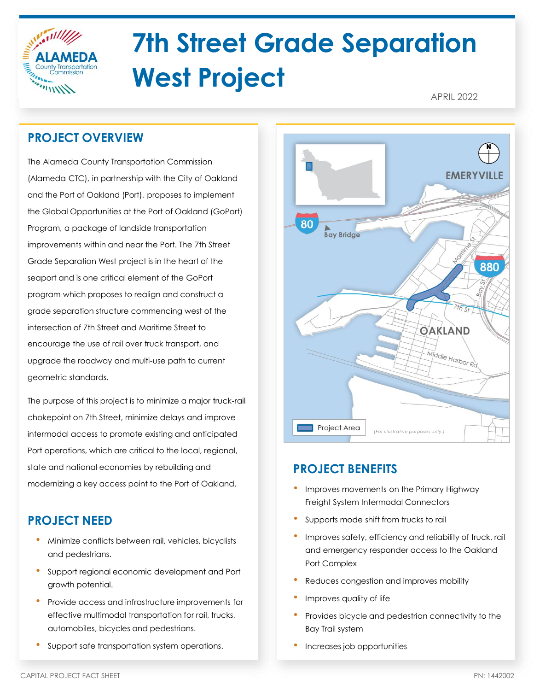

# **7th Street Grade Separation West Project**

APRIL 2022

# **PROJECT OVERVIEW**

The Alameda County Transportation Commission (Alameda CTC), in partnership with the City of Oakland and the Port of Oakland (Port), proposes to implement the Global Opportunities at the Port of Oakland (GoPort) Program, a package of landside transportation improvements within and near the Port. The 7th Street Grade Separation West project is in the heart of the seaport and is one critical element of the GoPort program which proposes to realign and construct a grade separation structure commencing west of the intersection of 7th Street and Maritime Street to encourage the use of rail over truck transport, and upgrade the roadway and multi-use path to current geometric standards.

The purpose of this project is to minimize a major truck-rail chokepoint on 7th Street, minimize delays and improve intermodal access to promote existing and anticipated Port operations, which are critical to the local, regional, state and national economies by rebuilding and modernizing a key access point to the Port of Oakland.

# **PROJECT NEED**

- Minimize conflicts between rail, vehicles, bicyclists and pedestrians.
- Support regional economic development and Port growth potential.
- Provide access and infrastructure improvements for effective multimodal transportation for rail, trucks, automobiles, bicycles and pedestrians.
	- Support safe transportation system operations.



## **PROJECT BENEFITS**

- Improves movements on the Primary Highway Freight System Intermodal Connectors
- Supports mode shift from trucks to rail
- Improves safety, efficiency and reliability of truck, rail and emergency responder access to the Oakland Port Complex
- Reduces congestion and improves mobility
- Improves quality of life
- Provides bicycle and pedestrian connectivity to the Bay Trail system
- Increases job opportunities